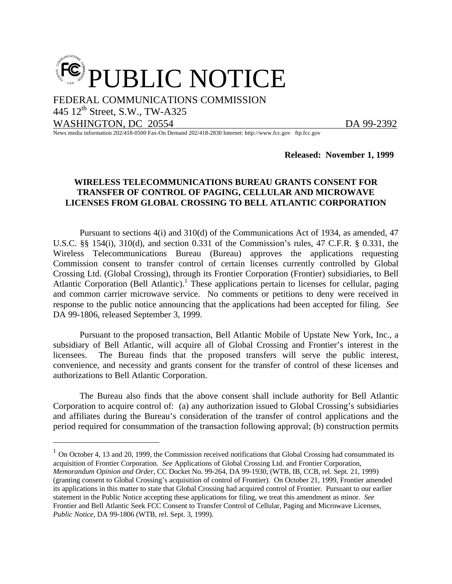

FEDERAL COMMUNICATIONS COMMISSION

445 12<sup>th</sup> Street, S.W., TW-A325

WASHINGTON, DC 20554 DA 99-2392

<u>.</u>

News media information 202/418-0500 Fax-On Demand 202/418-2830 Internet: http://www.fcc.gov ftp.fcc.gov

**Released: November 1, 1999**

## **WIRELESS TELECOMMUNICATIONS BUREAU GRANTS CONSENT FOR TRANSFER OF CONTROL OF PAGING, CELLULAR AND MICROWAVE LICENSES FROM GLOBAL CROSSING TO BELL ATLANTIC CORPORATION**

Pursuant to sections 4(i) and 310(d) of the Communications Act of 1934, as amended, 47 U.S.C. §§ 154(i), 310(d), and section 0.331 of the Commission's rules, 47 C.F.R. § 0.331, the Wireless Telecommunications Bureau (Bureau) approves the applications requesting Commission consent to transfer control of certain licenses currently controlled by Global Crossing Ltd. (Global Crossing), through its Frontier Corporation (Frontier) subsidiaries, to Bell Atlantic Corporation (Bell Atlantic).<sup>1</sup> These applications pertain to licenses for cellular, paging and common carrier microwave service. No comments or petitions to deny were received in response to the public notice announcing that the applications had been accepted for filing. *See* DA 99-1806, released September 3, 1999.

Pursuant to the proposed transaction, Bell Atlantic Mobile of Upstate New York, Inc., a subsidiary of Bell Atlantic, will acquire all of Global Crossing and Frontier's interest in the licensees. The Bureau finds that the proposed transfers will serve the public interest, convenience, and necessity and grants consent for the transfer of control of these licenses and authorizations to Bell Atlantic Corporation.

The Bureau also finds that the above consent shall include authority for Bell Atlantic Corporation to acquire control of: (a) any authorization issued to Global Crossing's subsidiaries and affiliates during the Bureau's consideration of the transfer of control applications and the period required for consummation of the transaction following approval; (b) construction permits

 $1$  On October 4, 13 and 20, 1999, the Commission received notifications that Global Crossing had consummated its acquisition of Frontier Corporation. *See* Applications of Global Crossing Ltd. and Frontier Corporation, *Memorandum Opinion and Order*, CC Docket No. 99-264, DA 99-1930, (WTB, IB, CCB, rel. Sept. 21, 1999)

<sup>(</sup>granting consent to Global Crossing's acquisition of control of Frontier). On October 21, 1999, Frontier amended its applications in this matter to state that Global Crossing had acquired control of Frontier. Pursuant to our earlier statement in the Public Notice accepting these applications for filing, we treat this amendment as minor. *See* Frontier and Bell Atlantic Seek FCC Consent to Transfer Control of Cellular, Paging and Microwave Licenses, *Public Notice*, DA 99-1806 (WTB, rel. Sept. 3, 1999).